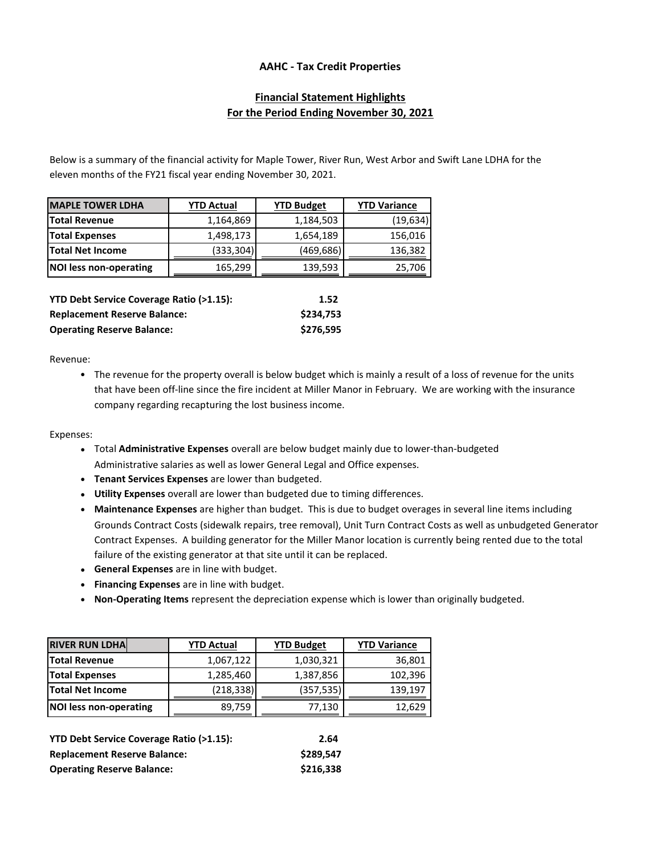## **AAHC - Tax Credit Properties**

# **Financial Statement Highlights For the Period Ending November 30, 2021**

Below is a summary of the financial activity for Maple Tower, River Run, West Arbor and Swift Lane LDHA for the eleven months of the FY21 fiscal year ending November 30, 2021.

| <b>MAPLE TOWER LDHA</b>                                    | <b>YTD Actual</b> | <b>YTD Budget</b> | <b>YTD Variance</b> |
|------------------------------------------------------------|-------------------|-------------------|---------------------|
| <b>Total Revenue</b>                                       | 1,164,869         | 1,184,503         | (19, 634)           |
| <b>Total Expenses</b>                                      | 1,498,173         | 1,654,189         | 156,016             |
| <b>Total Net Income</b>                                    | (333,304)         | (469,686)         | 136,382             |
| <b>NOI less non-operating</b>                              | 165,299           | 139,593           | 25,706              |
| <b>YTD Debt Service Coverage Ratio (&gt;1.15):</b><br>1.52 |                   |                   |                     |

| TTD DEDIT SEI VICE COVETAGE RAIIO (21.13). | 1.JL      |
|--------------------------------------------|-----------|
| <b>Replacement Reserve Balance:</b>        | \$234.753 |
| <b>Operating Reserve Balance:</b>          | \$276,595 |

Revenue:

• The revenue for the property overall is below budget which is mainly a result of a loss of revenue for the units that have been off-line since the fire incident at Miller Manor in February. We are working with the insurance company regarding recapturing the lost business income.

Expenses:

- Total **Administrative Expenses** overall are below budget mainly due to lower-than-budgeted Administrative salaries as well as lower General Legal and Office expenses.
- **Tenant Services Expenses** are lower than budgeted.
- **Utility Expenses** overall are lower than budgeted due to timing differences.
- **Maintenance Expenses** are higher than budget. This is due to budget overages in several line items including Grounds Contract Costs (sidewalk repairs, tree removal), Unit Turn Contract Costs as well as unbudgeted Generator Contract Expenses. A building generator for the Miller Manor location is currently being rented due to the total failure of the existing generator at that site until it can be replaced.
- **General Expenses** are in line with budget.
- **Financing Expenses** are in line with budget.
- **Non-Operating Items** represent the depreciation expense which is lower than originally budgeted.

| <b>RIVER RUN LDHA</b>   | <b>YTD Actual</b> | <b>YTD Budget</b> | <b>YTD Variance</b> |
|-------------------------|-------------------|-------------------|---------------------|
| <b>Total Revenue</b>    | 1,067,122         | 1,030,321         | 36,801              |
| <b>Total Expenses</b>   | 1,285,460         | 1,387,856         | 102,396             |
| <b>Total Net Income</b> | (218, 338)        | (357, 535)        | 139,197             |
| NOI less non-operating  | 89,759            | 77,130            | 12,629              |

| YTD Debt Service Coverage Ratio (>1.15): | 2.64      |
|------------------------------------------|-----------|
| <b>Replacement Reserve Balance:</b>      | \$289.547 |
| <b>Operating Reserve Balance:</b>        | \$216,338 |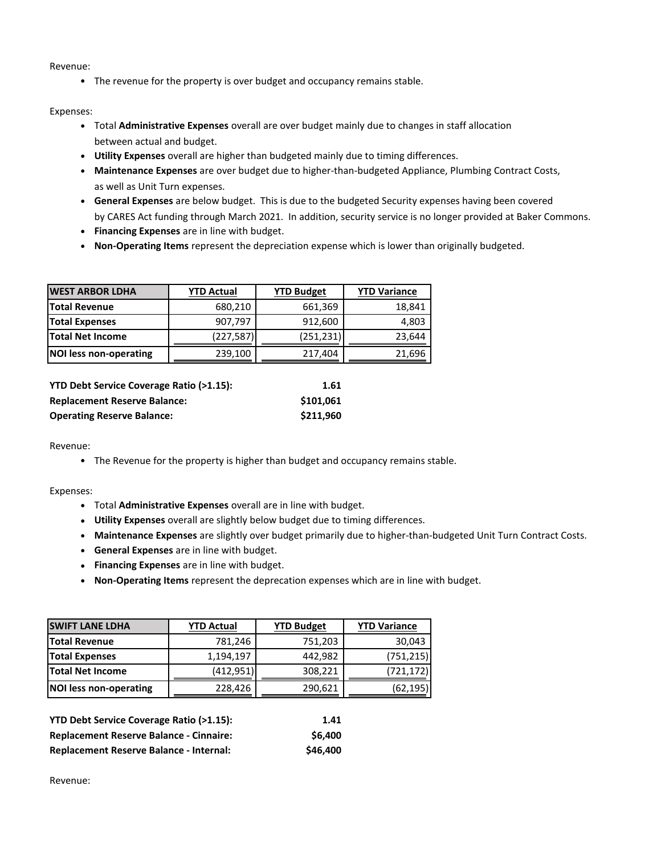Revenue:

• The revenue for the property is over budget and occupancy remains stable.

#### Expenses:

- Total **Administrative Expenses** overall are over budget mainly due to changes in staff allocation between actual and budget.
- **Utility Expenses** overall are higher than budgeted mainly due to timing differences.
- **Maintenance Expenses** are over budget due to higher-than-budgeted Appliance, Plumbing Contract Costs, as well as Unit Turn expenses.
- **General Expenses** are below budget. This is due to the budgeted Security expenses having been covered by CARES Act funding through March 2021. In addition, security service is no longer provided at Baker Commons.
- **Financing Expenses** are in line with budget.
- **Non-Operating Items** represent the depreciation expense which is lower than originally budgeted.

| <b>WEST ARBOR LDHA</b>        | <b>YTD Actual</b> | <b>YTD Budget</b> | <b>YTD Variance</b> |
|-------------------------------|-------------------|-------------------|---------------------|
| <b>Total Revenue</b>          | 680,210           | 661,369           | 18,841              |
| <b>Total Expenses</b>         | 907,797           | 912,600           | 4,803               |
| <b>Total Net Income</b>       | (227, 587)        | (251, 231)        | 23,644              |
| <b>NOI less non-operating</b> | 239,100           | 217,404           | 21,696              |

| YTD Debt Service Coverage Ratio (>1.15): | 1.61      |
|------------------------------------------|-----------|
| <b>Replacement Reserve Balance:</b>      | \$101.061 |
| <b>Operating Reserve Balance:</b>        | \$211.960 |

Revenue:

• The Revenue for the property is higher than budget and occupancy remains stable.

## Expenses:

- Total **Administrative Expenses** overall are in line with budget.
- **Utility Expenses** overall are slightly below budget due to timing differences.
- **Maintenance Expenses** are slightly over budget primarily due to higher-than-budgeted Unit Turn Contract Costs.
- **General Expenses** are in line with budget.
- **Financing Expenses** are in line with budget.
- **Non-Operating Items** represent the deprecation expenses which are in line with budget.

| <b>SWIFT LANE LDHA</b>  | <b>YTD Actual</b> | <b>YTD Budget</b> | <b>YTD Variance</b> |
|-------------------------|-------------------|-------------------|---------------------|
| <b>Total Revenue</b>    | 781,246           | 751,203           | 30,043              |
| <b>Total Expenses</b>   | 1,194,197         | 442.982           | (751, 215)          |
| <b>Total Net Income</b> | (412,951)         | 308,221           | (721,172)           |
| NOI less non-operating  | 228,426           | 290,621           | (62,195)            |

| <b>YTD Debt Service Coverage Ratio (&gt;1.15):</b> | 1.41     |
|----------------------------------------------------|----------|
| <b>Replacement Reserve Balance - Cinnaire:</b>     | \$6,400  |
| <b>Replacement Reserve Balance - Internal:</b>     | \$46,400 |